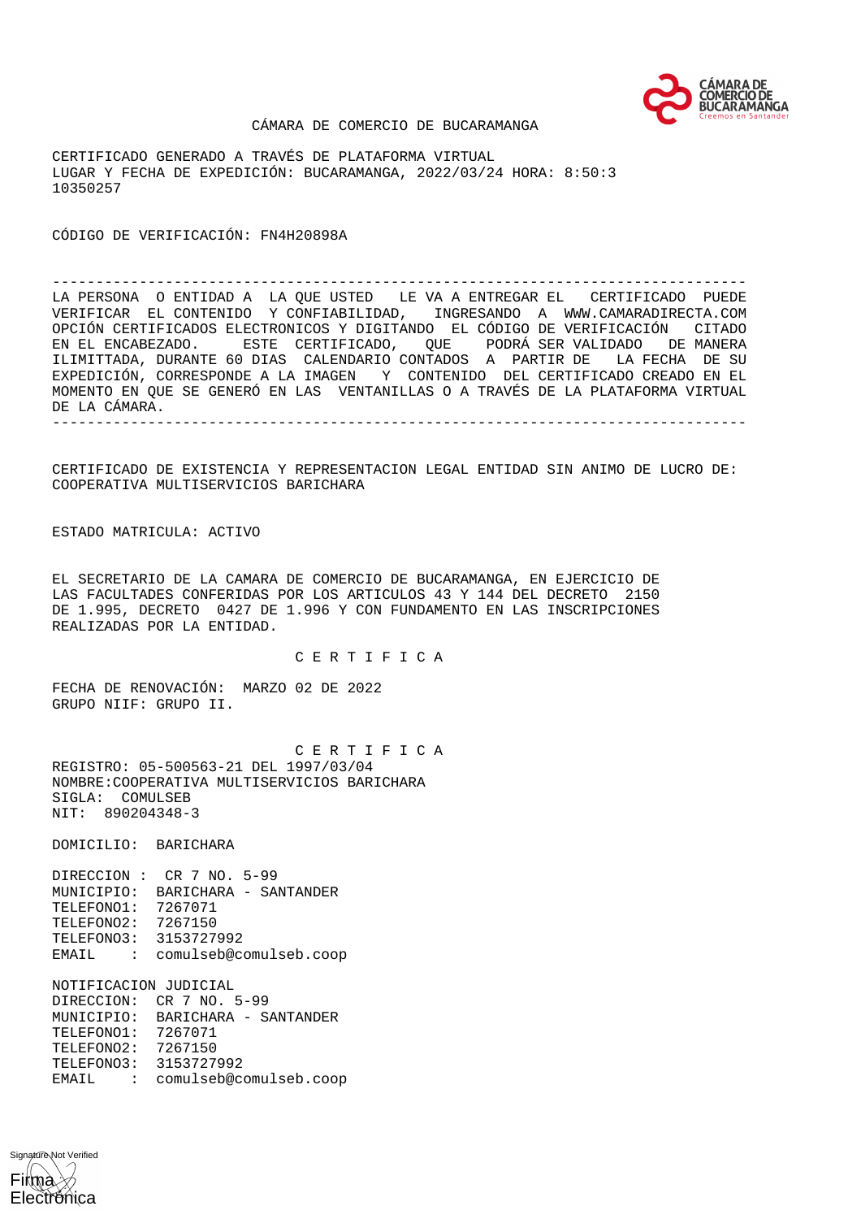

#### CÁMARA DE COMERCIO DE BUCARAMANGA

CERTIFICADO GENERADO A TRAVÉS DE PLATAFORMA VIRTUAL LUGAR Y FECHA DE EXPEDICIÓN: BUCARAMANGA, 2022/03/24 HORA: 8:50:3 10350257

CÓDIGO DE VERIFICACIÓN: FN4H20898A

-------------------------------------------------------------------------------- LA PERSONA O ENTIDAD A LA QUE USTED LE VA A ENTREGAR EL CERTIFICADO PUEDE VERIFICAR EL CONTENIDO Y CONFIABILIDAD, INGRESANDO A WWW.CAMARADIRECTA.COM OPCIÓN CERTIFICADOS ELECTRONICOS Y DIGITANDO EL CÓDIGO DE VERIFICACIÓN CITADO EN EL ENCABEZADO. ESTE CERTIFICADO, QUE PODRÁ SER VALIDADO DE MANERA ILIMITTADA, DURANTE 60 DIAS CALENDARIO CONTADOS A PARTIR DE LA FECHA DE SU EXPEDICIÓN, CORRESPONDE A LA IMAGEN Y CONTENIDO DEL CERTIFICADO CREADO EN EL MOMENTO EN QUE SE GENERÓ EN LAS VENTANILLAS O A TRAVÉS DE LA PLATAFORMA VIRTUAL DE LA CÁMARA. --------------------------------------------------------------------------------

CERTIFICADO DE EXISTENCIA Y REPRESENTACION LEGAL ENTIDAD SIN ANIMO DE LUCRO DE: COOPERATIVA MULTISERVICIOS BARICHARA

ESTADO MATRICULA: ACTIVO

EL SECRETARIO DE LA CAMARA DE COMERCIO DE BUCARAMANGA, EN EJERCICIO DE LAS FACULTADES CONFERIDAS POR LOS ARTICULOS 43 Y 144 DEL DECRETO 2150 DE 1.995, DECRETO 0427 DE 1.996 Y CON FUNDAMENTO EN LAS INSCRIPCIONES REALIZADAS POR LA ENTIDAD.

C E R T I F I C A

FECHA DE RENOVACIÓN: MARZO 02 DE 2022 GRUPO NIIF: GRUPO II.

 C E R T I F I C A REGISTRO: 05-500563-21 DEL 1997/03/04 NOMBRE:COOPERATIVA MULTISERVICIOS BARICHARA SIGLA: COMULSEB NIT: 890204348-3

DOMICILIO: BARICHARA

DIRECCION : CR 7 NO. 5-99 MUNICIPIO: BARICHARA - SANTANDER TELEFONO1: 7267071 TELEFONO2: 7267150 TELEFONO3: 3153727992 EMAIL : comulseb@comulseb.coop

NOTIFICACION JUDICIAL DIRECCION: CR 7 NO. 5-99 MUNICIPIO: BARICHARA - SANTANDER TELEFONO1: 7267071 TELEFONO2: 7267150 TELEFONO3: 3153727992 EMAIL : comulseb@comulseb.coop

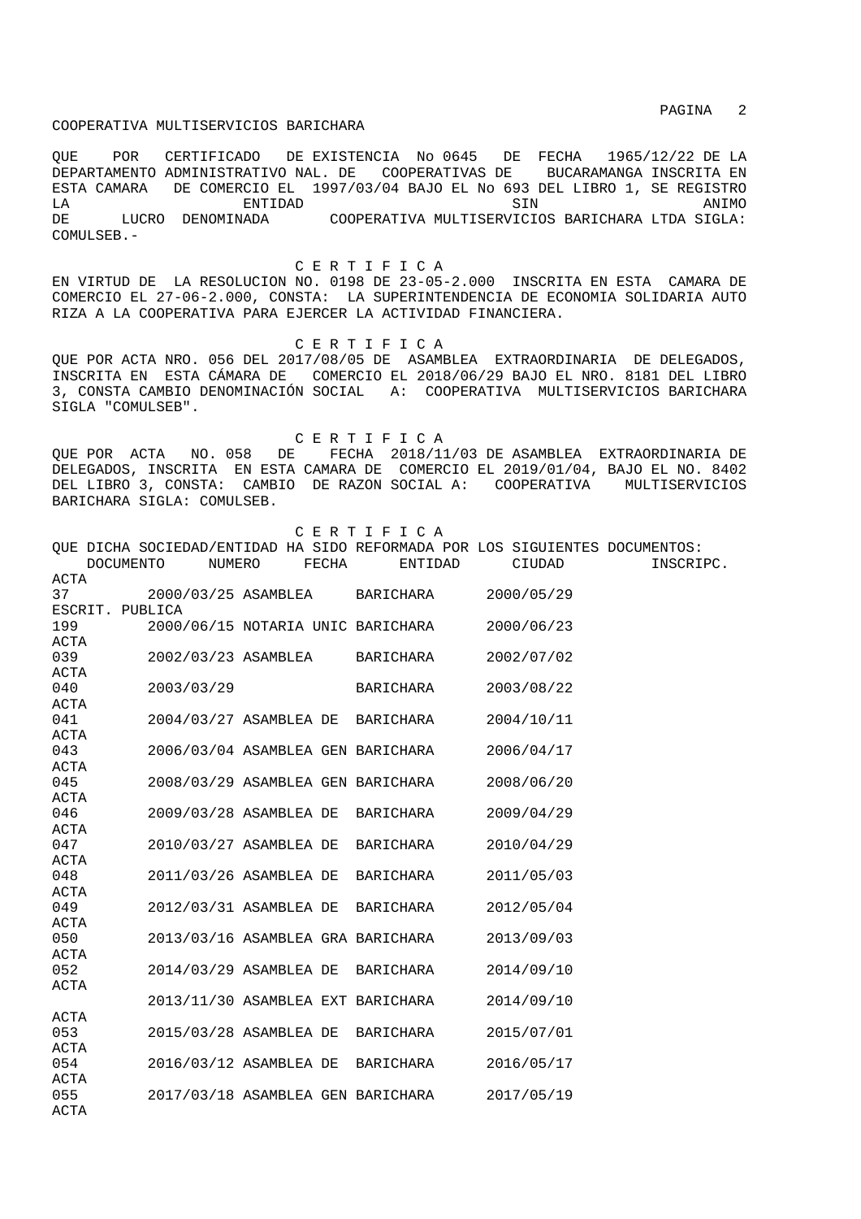QUE POR CERTIFICADO DE EXISTENCIA No 0645 DE FECHA 1965/12/22 DE LA DEPARTAMENTO ADMINISTRATIVO NAL. DE COOPERATIVAS DE BUCARAMANGA INSCRITA EN ESTA CAMARA DE COMERCIO EL 1997/03/04 BAJO EL No 693 DEL LIBRO 1, SE REGISTRO LA ENTIDAD SIN ANIMO DE LUCRO DENOMINADA COOPERATIVA MULTISERVICIOS BARICHARA LTDA SIGLA: COMULSEB.-

C E R T I F I C A

EN VIRTUD DE LA RESOLUCION NO. 0198 DE 23-05-2.000 INSCRITA EN ESTA CAMARA DE COMERCIO EL 27-06-2.000, CONSTA: LA SUPERINTENDENCIA DE ECONOMIA SOLIDARIA AUTO RIZA A LA COOPERATIVA PARA EJERCER LA ACTIVIDAD FINANCIERA.

C E R T I F I C A

QUE POR ACTA NRO. 056 DEL 2017/08/05 DE ASAMBLEA EXTRAORDINARIA DE DELEGADOS, INSCRITA EN ESTA CÁMARA DE COMERCIO EL 2018/06/29 BAJO EL NRO. 8181 DEL LIBRO 3, CONSTA CAMBIO DENOMINACIÓN SOCIAL A: COOPERATIVA MULTISERVICIOS BARICHARA SIGLA "COMULSEB".

 C E R T I F I C A QUE POR ACTA NO. 058 DE FECHA 2018/11/03 DE ASAMBLEA EXTRAORDINARIA DE DELEGADOS, INSCRITA EN ESTA CAMARA DE COMERCIO EL 2019/01/04, BAJO EL NO. 8402 DEL LIBRO 3, CONSTA: CAMBIO DE RAZON SOCIAL A: COOPERATIVA MULTISERVICIOS BARICHARA SIGLA: COMULSEB.

|                 |            |        |                        |       | CERTIFICA                                                                   |            |           |
|-----------------|------------|--------|------------------------|-------|-----------------------------------------------------------------------------|------------|-----------|
|                 |            |        |                        |       | QUE DICHA SOCIEDAD/ENTIDAD HA SIDO REFORMADA POR LOS SIGUIENTES DOCUMENTOS: |            |           |
|                 | DOCUMENTO  | NUMERO |                        | FECHA | ENTIDAD                                                                     | CIUDAD     | INSCRIPC. |
| <b>ACTA</b>     |            |        |                        |       |                                                                             |            |           |
| 37              |            |        | 2000/03/25 ASAMBLEA    |       | BARICHARA                                                                   | 2000/05/29 |           |
| ESCRIT. PUBLICA |            |        |                        |       |                                                                             |            |           |
| 199             |            |        |                        |       | 2000/06/15 NOTARIA UNIC BARICHARA                                           | 2000/06/23 |           |
| ACTA            |            |        |                        |       |                                                                             |            |           |
| 039             |            |        | 2002/03/23 ASAMBLEA    |       | BARICHARA                                                                   | 2002/07/02 |           |
| ACTA            |            |        |                        |       |                                                                             |            |           |
| 040             | 2003/03/29 |        |                        |       | BARICHARA                                                                   | 2003/08/22 |           |
| ACTA            |            |        |                        |       |                                                                             |            |           |
| 041             |            |        | 2004/03/27 ASAMBLEA DE |       | BARICHARA                                                                   | 2004/10/11 |           |
| ACTA            |            |        |                        |       |                                                                             |            |           |
| 043             |            |        |                        |       | 2006/03/04 ASAMBLEA GEN BARICHARA                                           | 2006/04/17 |           |
| ACTA            |            |        |                        |       |                                                                             |            |           |
| 045             |            |        |                        |       | 2008/03/29 ASAMBLEA GEN BARICHARA                                           | 2008/06/20 |           |
| ACTA            |            |        |                        |       |                                                                             |            |           |
| 046             |            |        | 2009/03/28 ASAMBLEA DE |       | BARICHARA                                                                   | 2009/04/29 |           |
| ACTA            |            |        |                        |       |                                                                             |            |           |
| 047             |            |        | 2010/03/27 ASAMBLEA DE |       | BARICHARA                                                                   | 2010/04/29 |           |
| <b>ACTA</b>     |            |        |                        |       |                                                                             |            |           |
| 048             |            |        | 2011/03/26 ASAMBLEA DE |       | BARICHARA                                                                   | 2011/05/03 |           |
| <b>ACTA</b>     |            |        |                        |       |                                                                             |            |           |
| 049             |            |        | 2012/03/31 ASAMBLEA DE |       | BARICHARA                                                                   | 2012/05/04 |           |
| ACTA            |            |        |                        |       |                                                                             |            |           |
| 050             |            |        |                        |       | 2013/03/16 ASAMBLEA GRA BARICHARA                                           | 2013/09/03 |           |
| ACTA            |            |        |                        |       |                                                                             |            |           |
| 052             |            |        | 2014/03/29 ASAMBLEA DE |       | BARICHARA                                                                   | 2014/09/10 |           |
| <b>ACTA</b>     |            |        |                        |       |                                                                             |            |           |
|                 |            |        |                        |       | 2013/11/30 ASAMBLEA EXT BARICHARA                                           | 2014/09/10 |           |
| <b>ACTA</b>     |            |        |                        |       |                                                                             |            |           |
| 053             |            |        | 2015/03/28 ASAMBLEA DE |       | BARICHARA                                                                   | 2015/07/01 |           |
| <b>ACTA</b>     |            |        |                        |       |                                                                             |            |           |
| 054             |            |        | 2016/03/12 ASAMBLEA DE |       | BARICHARA                                                                   | 2016/05/17 |           |
| ACTA            |            |        |                        |       |                                                                             |            |           |
| 055             |            |        |                        |       | 2017/03/18 ASAMBLEA GEN BARICHARA                                           | 2017/05/19 |           |
| ACTA            |            |        |                        |       |                                                                             |            |           |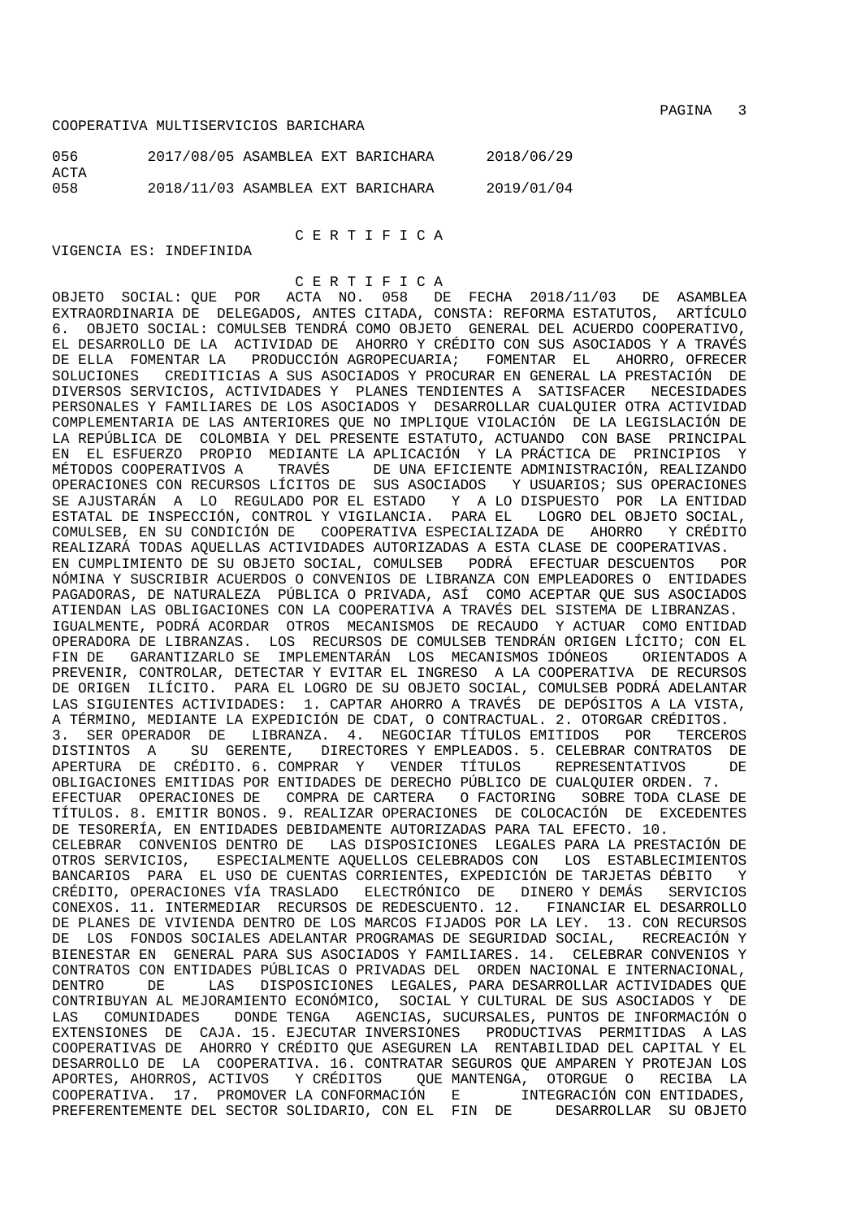| 056         | 2017/08/05 ASAMBLEA EXT BARICHARA |  | 2018/06/29 |
|-------------|-----------------------------------|--|------------|
| ACTA<br>058 | 2018/11/03 ASAMBLEA EXT BARICHARA |  | 2019/01/04 |

C E R T I F I C A

# VIGENCIA ES: INDEFINIDA

C E R T I F I C A<br>OBJETO SOCIAL: OUE POR ACTA NO. 058 DE OBJETO SOCIAL: QUE POR ACTA NO. 058 DE FECHA 2018/11/03 DE ASAMBLEA EXTRAORDINARIA DE DELEGADOS, ANTES CITADA, CONSTA: REFORMA ESTATUTOS, ARTÍCULO 6. OBJETO SOCIAL: COMULSEB TENDRÁ COMO OBJETO GENERAL DEL ACUERDO COOPERATIVO, EL DESARROLLO DE LA ACTIVIDAD DE AHORRO Y CRÉDITO CON SUS ASOCIADOS Y A TRAVÉS DE ELLA FOMENTAR LA PRODUCCIÓN AGROPECUARIA; FOMENTAR EL AHORRO, OFRECER SOLUCIONES CREDITICIAS A SUS ASOCIADOS Y PROCURAR EN GENERAL LA PRESTACIÓN DE DIVERSOS SERVICIOS, ACTIVIDADES Y PLANES TENDIENTES A SATISFACER NECESIDADES PERSONALES Y FAMILIARES DE LOS ASOCIADOS Y DESARROLLAR CUALQUIER OTRA ACTIVIDAD COMPLEMENTARIA DE LAS ANTERIORES QUE NO IMPLIQUE VIOLACIÓN DE LA LEGISLACIÓN DE LA REPÚBLICA DE COLOMBIA Y DEL PRESENTE ESTATUTO, ACTUANDO CON BASE PRINCIPAL EN EL ESFUERZO PROPIO MEDIANTE LA APLICACIÓN Y LA PRÁCTICA DE PRINCIPIOS Y MÉTODOS COOPERATIVOS A TRAVÉS DE UNA EFICIENTE ADMINISTRACIÓN, REALIZANDO OPERACIONES CON RECURSOS LÍCITOS DE SUS ASOCIADOS Y USUARIOS; SUS OPERACIONES SE AJUSTARÁN A LO REGULADO POR EL ESTADO Y A LO DISPUESTO POR LA ENTIDAD ESTATAL DE INSPECCIÓN, CONTROL Y VIGILANCIA. PARA EL LOGRO DEL OBJETO SOCIAL, COMULSEB, EN SU CONDICIÓN DE COOPERATIVA ESPECIALIZADA DE AHORRO Y CRÉDITO REALIZARÁ TODAS AQUELLAS ACTIVIDADES AUTORIZADAS A ESTA CLASE DE COOPERATIVAS. EN CUMPLIMIENTO DE SU OBJETO SOCIAL, COMULSEB PODRÁ EFECTUAR DESCUENTOS POR NÓMINA Y SUSCRIBIR ACUERDOS O CONVENIOS DE LIBRANZA CON EMPLEADORES O ENTIDADES PAGADORAS, DE NATURALEZA PÚBLICA O PRIVADA, ASÍ COMO ACEPTAR QUE SUS ASOCIADOS ATIENDAN LAS OBLIGACIONES CON LA COOPERATIVA A TRAVÉS DEL SISTEMA DE LIBRANZAS. IGUALMENTE, PODRÁ ACORDAR OTROS MECANISMOS DE RECAUDO Y ACTUAR COMO ENTIDAD OPERADORA DE LIBRANZAS. LOS RECURSOS DE COMULSEB TENDRÁN ORIGEN LÍCITO; CON EL FIN DE GARANTIZARLO SE IMPLEMENTARÁN LOS MECANISMOS IDÓNEOS ORIENTADOS A PREVENIR, CONTROLAR, DETECTAR Y EVITAR EL INGRESO A LA COOPERATIVA DE RECURSOS DE ORIGEN ILÍCITO. PARA EL LOGRO DE SU OBJETO SOCIAL, COMULSEB PODRÁ ADELANTAR LAS SIGUIENTES ACTIVIDADES: 1. CAPTAR AHORRO A TRAVÉS DE DEPÓSITOS A LA VISTA, A TÉRMINO, MEDIANTE LA EXPEDICIÓN DE CDAT, O CONTRACTUAL. 2. OTORGAR CRÉDITOS. 3. SER OPERADOR DE LIBRANZA. 4. NEGOCIAR TÍTULOS EMITIDOS POR TERCEROS DISTINTOS A SU GERENTE, DIRECTORES Y EMPLEADOS. 5. CELEBRAR CONTRATOS DE APERTURA DE CRÉDITO. 6. COMPRAR Y VENDER TÍTULOS REPRESENTATIVOS DE OBLIGACIONES EMITIDAS POR ENTIDADES DE DERECHO PÚBLICO DE CUALQUIER ORDEN. 7. EFECTUAR OPERACIONES DE COMPRA DE CARTERA O FACTORING SOBRE TODA CLASE DE TÍTULOS. 8. EMITIR BONOS. 9. REALIZAR OPERACIONES DE COLOCACIÓN DE EXCEDENTES DE TESORERÍA, EN ENTIDADES DEBIDAMENTE AUTORIZADAS PARA TAL EFECTO. 10. CELEBRAR CONVENIOS DENTRO DE LAS DISPOSICIONES LEGALES PARA LA PRESTACIÓN DE OTROS SERVICIOS, ESPECIALMENTE AQUELLOS CELEBRADOS CON LOS ESTABLECIMIENTOS BANCARIOS PARA EL USO DE CUENTAS CORRIENTES, EXPEDICIÓN DE TARJETAS DÉBITO Y CRÉDITO, OPERACIONES VÍA TRASLADO ELECTRÓNICO DE DINERO Y DEMÁS SERVICIOS CONEXOS. 11. INTERMEDIAR RECURSOS DE REDESCUENTO. 12. FINANCIAR EL DESARROLLO DE PLANES DE VIVIENDA DENTRO DE LOS MARCOS FIJADOS POR LA LEY. 13. CON RECURSOS DE LOS FONDOS SOCIALES ADELANTAR PROGRAMAS DE SEGURIDAD SOCIAL, RECREACIÓN Y BIENESTAR EN GENERAL PARA SUS ASOCIADOS Y FAMILIARES. 14. CELEBRAR CONVENIOS Y CONTRATOS CON ENTIDADES PÚBLICAS O PRIVADAS DEL ORDEN NACIONAL E INTERNACIONAL, DENTRO DE LAS DISPOSICIONES LEGALES, PARA DESARROLLAR ACTIVIDADES QUE CONTRIBUYAN AL MEJORAMIENTO ECONÓMICO, SOCIAL Y CULTURAL DE SUS ASOCIADOS Y DE LAS COMUNIDADES DONDE TENGA AGENCIAS, SUCURSALES, PUNTOS DE INFORMACIÓN O EXTENSIONES DE CAJA. 15. EJECUTAR INVERSIONES PRODUCTIVAS PERMITIDAS A LAS COOPERATIVAS DE AHORRO Y CRÉDITO QUE ASEGUREN LA RENTABILIDAD DEL CAPITAL Y EL DESARROLLO DE LA COOPERATIVA. 16. CONTRATAR SEGUROS QUE AMPAREN Y PROTEJAN LOS APORTES, AHORROS, ACTIVOS Y CRÉDITOS QUE MANTENGA, OTORGUE O RECIBA LA COOPERATIVA. 17. PROMOVER LA CONFORMACIÓN E INTEGRACIÓN CON ENTIDADES, PREFERENTEMENTE DEL SECTOR SOLIDARIO, CON EL FIN DE DESARROLLAR SU OBJETO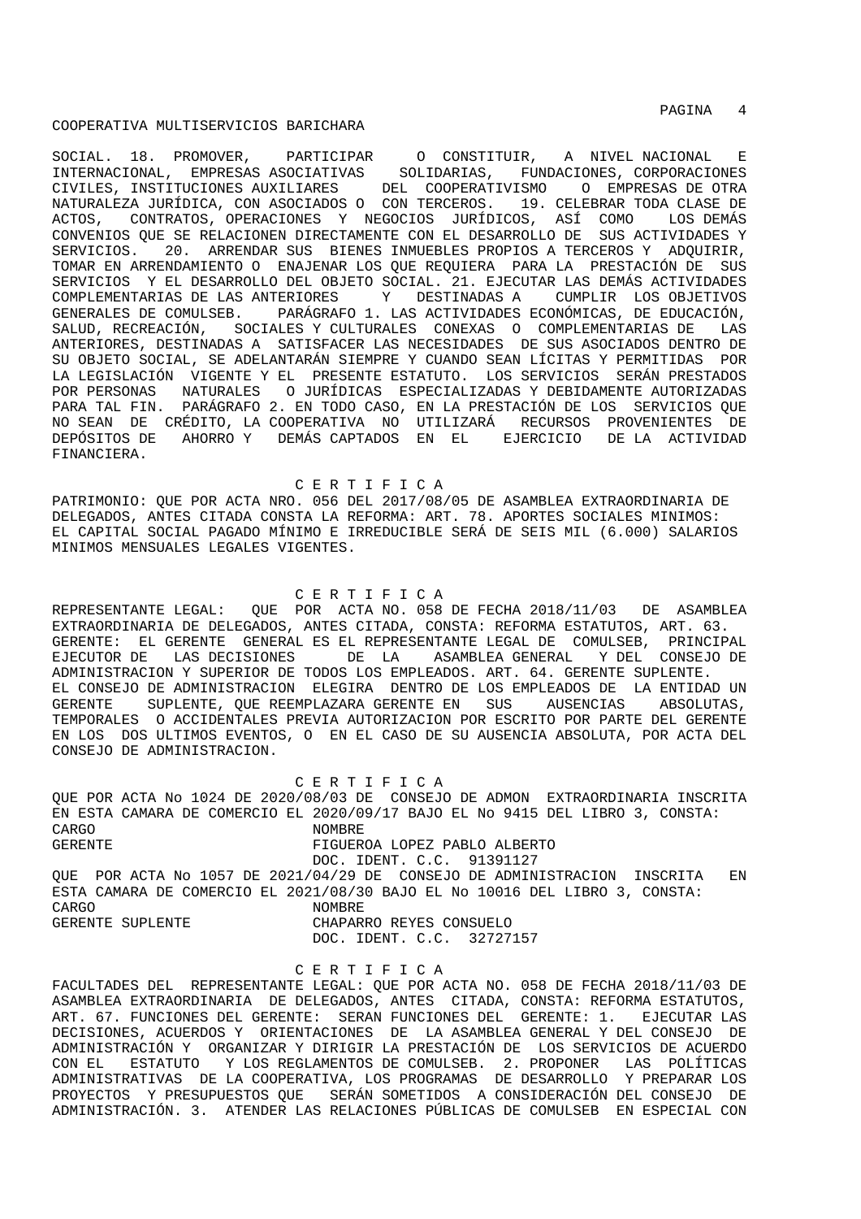PAGINA 4

#### COOPERATIVA MULTISERVICIOS BARICHARA

SOCIAL. 18. PROMOVER, PARTICIPAR O CONSTITUIR, A NIVEL NACIONAL E INTERNACIONAL, EMPRESAS ASOCIATIVAS SOLIDARIAS, FUNDACIONES, CORPORACIONES CIVILES, INSTITUCIONES AUXILIARES DEL COOPERATIVISMO O EMPRESAS DE OTRA NATURALEZA JURÍDICA, CON ASOCIADOS O CON TERCEROS. 19. CELEBRAR TODA CLASE DE ACTOS, CONTRATOS, OPERACIONES Y NEGOCIOS JURÍDICOS, ASÍ COMO LOS DEMÁS CONVENIOS QUE SE RELACIONEN DIRECTAMENTE CON EL DESARROLLO DE SUS ACTIVIDADES Y SERVICIOS. 20. ARRENDAR SUS BIENES INMUEBLES PROPIOS A TERCEROS Y ADQUIRIR, TOMAR EN ARRENDAMIENTO O ENAJENAR LOS QUE REQUIERA PARA LA PRESTACIÓN DE SUS SERVICIOS Y EL DESARROLLO DEL OBJETO SOCIAL. 21. EJECUTAR LAS DEMÁS ACTIVIDADES COMPLEMENTARIAS DE LAS ANTERIORES Y DESTINADAS A CUMPLIR LOS OBJETIVOS GENERALES DE COMULSEB. PARÁGRAFO 1. LAS ACTIVIDADES ECONÓMICAS, DE EDUCACIÓN, SALUD, RECREACIÓN, SOCIALES Y CULTURALES CONEXAS O COMPLEMENTARIAS DE LAS ANTERIORES, DESTINADAS A SATISFACER LAS NECESIDADES DE SUS ASOCIADOS DENTRO DE SU OBJETO SOCIAL, SE ADELANTARÁN SIEMPRE Y CUANDO SEAN LÍCITAS Y PERMITIDAS POR LA LEGISLACIÓN VIGENTE Y EL PRESENTE ESTATUTO. LOS SERVICIOS SERÁN PRESTADOS POR PERSONAS NATURALES O JURÍDICAS ESPECIALIZADAS Y DEBIDAMENTE AUTORIZADAS PARA TAL FIN. PARÁGRAFO 2. EN TODO CASO, EN LA PRESTACIÓN DE LOS SERVICIOS QUE NO SEAN DE CRÉDITO, LA COOPERATIVA NO UTILIZARÁ RECURSOS PROVENIENTES DE DEPÓSITOS DE AHORRO Y DEMÁS CAPTADOS EN EL EJERCICIO DE LA ACTIVIDAD FINANCIERA.

C E R T I F I C A

PATRIMONIO: QUE POR ACTA NRO. 056 DEL 2017/08/05 DE ASAMBLEA EXTRAORDINARIA DE DELEGADOS, ANTES CITADA CONSTA LA REFORMA: ART. 78. APORTES SOCIALES MINIMOS: EL CAPITAL SOCIAL PAGADO MÍNIMO E IRREDUCIBLE SERÁ DE SEIS MIL (6.000) SALARIOS MINIMOS MENSUALES LEGALES VIGENTES.

C E R T I F I C A

REPRESENTANTE LEGAL: QUE POR ACTA NO. 058 DE FECHA 2018/11/03 DE ASAMBLEA EXTRAORDINARIA DE DELEGADOS, ANTES CITADA, CONSTA: REFORMA ESTATUTOS, ART. 63. GERENTE: EL GERENTE GENERAL ES EL REPRESENTANTE LEGAL DE COMULSEB, PRINCIPAL EJECUTOR DE LAS DECISIONES DE LA ASAMBLEA GENERAL Y DEL CONSEJO DE ADMINISTRACION Y SUPERIOR DE TODOS LOS EMPLEADOS. ART. 64. GERENTE SUPLENTE. EL CONSEJO DE ADMINISTRACION ELEGIRA DENTRO DE LOS EMPLEADOS DE LA ENTIDAD UN GERENTE SUPLENTE, QUE REEMPLAZARA GERENTE EN SUS AUSENCIAS ABSOLUTAS, TEMPORALES O ACCIDENTALES PREVIA AUTORIZACION POR ESCRITO POR PARTE DEL GERENTE EN LOS DOS ULTIMOS EVENTOS, O EN EL CASO DE SU AUSENCIA ABSOLUTA, POR ACTA DEL CONSEJO DE ADMINISTRACION.

 C E R T I F I C A QUE POR ACTA No 1024 DE 2020/08/03 DE CONSEJO DE ADMON EXTRAORDINARIA INSCRITA EN ESTA CAMARA DE COMERCIO EL 2020/09/17 BAJO EL No 9415 DEL LIBRO 3, CONSTA: CARGO NOMBRE GERENTE FIGUEROA LOPEZ PABLO ALBERTO DOC. IDENT. C.C. 91391127 QUE POR ACTA No 1057 DE 2021/04/29 DE CONSEJO DE ADMINISTRACION INSCRITA EN ESTA CAMARA DE COMERCIO EL 2021/08/30 BAJO EL No 10016 DEL LIBRO 3, CONSTA: CARGO CARGO CARGO CARGO CARGO CARGO CARGO CARGO CARGO CARGO CARGO CARGO CARGO CARGO CARGO CARGO CARGO CARGO CA GERENTE SUPLENTE CHAPARRO REYES CONSUELO DOC. IDENT. C.C. 32727157

#### C E R T I F I C A

FACULTADES DEL REPRESENTANTE LEGAL: QUE POR ACTA NO. 058 DE FECHA 2018/11/03 DE ASAMBLEA EXTRAORDINARIA DE DELEGADOS, ANTES CITADA, CONSTA: REFORMA ESTATUTOS, ART. 67. FUNCIONES DEL GERENTE: SERAN FUNCIONES DEL GERENTE: 1. EJECUTAR LAS DECISIONES, ACUERDOS Y ORIENTACIONES DE LA ASAMBLEA GENERAL Y DEL CONSEJO DE ADMINISTRACIÓN Y ORGANIZAR Y DIRIGIR LA PRESTACIÓN DE LOS SERVICIOS DE ACUERDO CON EL ESTATUTO Y LOS REGLAMENTOS DE COMULSEB. 2. PROPONER LAS POLÍTICAS ADMINISTRATIVAS DE LA COOPERATIVA, LOS PROGRAMAS DE DESARROLLO Y PREPARAR LOS PROYECTOS Y PRESUPUESTOS QUE SERÁN SOMETIDOS A CONSIDERACIÓN DEL CONSEJO DE ADMINISTRACIÓN. 3. ATENDER LAS RELACIONES PÚBLICAS DE COMULSEB EN ESPECIAL CON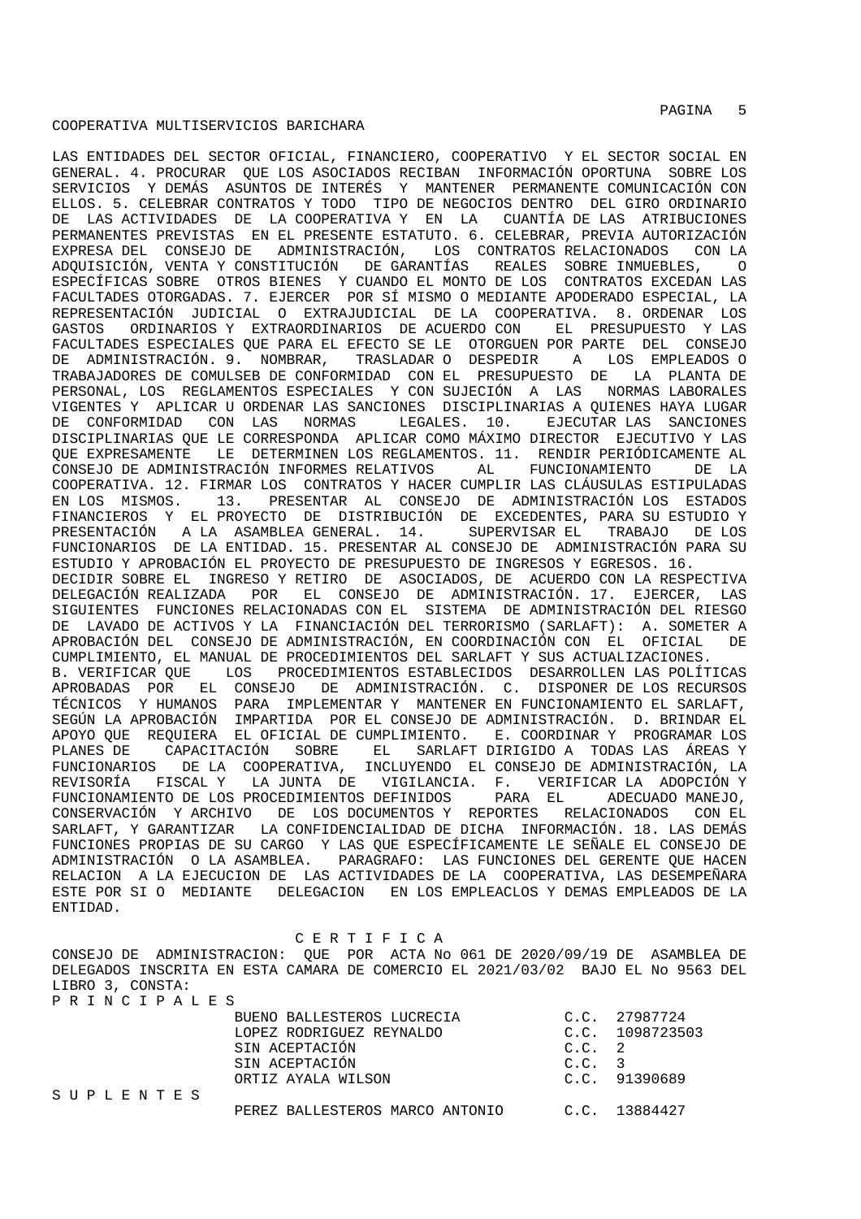LAS ENTIDADES DEL SECTOR OFICIAL, FINANCIERO, COOPERATIVO Y EL SECTOR SOCIAL EN GENERAL. 4. PROCURAR QUE LOS ASOCIADOS RECIBAN INFORMACIÓN OPORTUNA SOBRE LOS SERVICIOS Y DEMÁS ASUNTOS DE INTERÉS Y MANTENER PERMANENTE COMUNICACIÓN CON ELLOS. 5. CELEBRAR CONTRATOS Y TODO TIPO DE NEGOCIOS DENTRO DEL GIRO ORDINARIO DE LAS ACTIVIDADES DE LA COOPERATIVA Y EN LA CUANTÍA DE LAS ATRIBUCIONES PERMANENTES PREVISTAS EN EL PRESENTE ESTATUTO. 6. CELEBRAR, PREVIA AUTORIZACIÓN EXPRESA DEL CONSEJO DE ADMINISTRACIÓN, LOS CONTRATOS RELACIONADOS CON LA ADQUISICIÓN, VENTA Y CONSTITUCIÓN DE GARANTÍAS REALES SOBRE INMUEBLES, O ESPECÍFICAS SOBRE OTROS BIENES Y CUANDO EL MONTO DE LOS CONTRATOS EXCEDAN LAS FACULTADES OTORGADAS. 7. EJERCER POR SÍ MISMO O MEDIANTE APODERADO ESPECIAL, LA REPRESENTACIÓN JUDICIAL O EXTRAJUDICIAL DE LA COOPERATIVA. 8. ORDENAR LOS GASTOS ORDINARIOS Y EXTRAORDINARIOS DE ACUERDO CON EL PRESUPUESTO Y LAS FACULTADES ESPECIALES QUE PARA EL EFECTO SE LE OTORGUEN POR PARTE DEL CONSEJO DE ADMINISTRACIÓN. 9. NOMBRAR, TRASLADAR O DESPEDIR A LOS EMPLEADOS O TRABAJADORES DE COMULSEB DE CONFORMIDAD CON EL PRESUPUESTO DE LA PLANTA DE PERSONAL, LOS REGLAMENTOS ESPECIALES Y CON SUJECIÓN A LAS NORMAS LABORALES VIGENTES Y APLICAR U ORDENAR LAS SANCIONES DISCIPLINARIAS A QUIENES HAYA LUGAR LEGALES. 10. EJECUTAR LAS SANCIONES DISCIPLINARIAS QUE LE CORRESPONDA APLICAR COMO MÁXIMO DIRECTOR EJECUTIVO Y LAS QUE EXPRESAMENTE LE DETERMINEN LOS REGLAMENTOS. 11. RENDIR PERIÓDICAMENTE AL CONSEJO DE ADMINISTRACIÓN INFORMES RELATIVOS AL FUNCIONAMIENTO DE LA COOPERATIVA. 12. FIRMAR LOS CONTRATOS Y HACER CUMPLIR LAS CLÁUSULAS ESTIPULADAS EN LOS MISMOS. 13. PRESENTAR AL CONSEJO DE ADMINISTRACIÓN LOS ESTADOS FINANCIEROS Y EL PROYECTO DE DISTRIBUCIÓN DE EXCEDENTES, PARA SU ESTUDIO Y PRESENTACIÓN A LA ASAMBLEA GENERAL. 14. SUPERVISAR EL TRABAJO DE LOS FUNCIONARIOS DE LA ENTIDAD. 15. PRESENTAR AL CONSEJO DE ADMINISTRACIÓN PARA SU ESTUDIO Y APROBACIÓN EL PROYECTO DE PRESUPUESTO DE INGRESOS Y EGRESOS. 16. DECIDIR SOBRE EL INGRESO Y RETIRO DE ASOCIADOS, DE ACUERDO CON LA RESPECTIVA DELEGACIÓN REALIZADA POR EL CONSEJO DE ADMINISTRACIÓN. 17. EJERCER, LAS SIGUIENTES FUNCIONES RELACIONADAS CON EL SISTEMA DE ADMINISTRACIÓN DEL RIESGO DE LAVADO DE ACTIVOS Y LA FINANCIACIÓN DEL TERRORISMO (SARLAFT): A. SOMETER A APROBACIÓN DEL CONSEJO DE ADMINISTRACIÓN, EN COORDINACIÓN CON EL OFICIAL DE CUMPLIMIENTO, EL MANUAL DE PROCEDIMIENTOS DEL SARLAFT Y SUS ACTUALIZACIONES. B. VERIFICAR QUE LOS PROCEDIMIENTOS ESTABLECIDOS DESARROLLEN LAS POLÍTICAS APROBADAS POR EL CONSEJO DE ADMINISTRACIÓN. C. DISPONER DE LOS RECURSOS TÉCNICOS Y HUMANOS PARA IMPLEMENTAR Y MANTENER EN FUNCIONAMIENTO EL SARLAFT, SEGÚN LA APROBACIÓN IMPARTIDA POR EL CONSEJO DE ADMINISTRACIÓN. D. BRINDAR EL APOYO QUE REQUIERA EL OFICIAL DE CUMPLIMIENTO. E. COORDINAR Y PROGRAMAR LOS PLANES DE CAPACITACIÓN SOBRE EL SARLAFT DIRIGIDO A TODAS LAS ÁREAS Y FUNCIONARIOS DE LA COOPERATIVA, INCLUYENDO EL CONSEJO DE ADMINISTRACIÓN, LA REVISORÍA FISCAL Y LA JUNTA DE VIGILANCIA. F. VERIFICAR-LA ADOPCIÓN-Y-<br>FUNCIONAMIENTO-DE LOS PROCEDIMIENTOS DEFINIDOS - PARA EL - ADECUADO-MANEJO, FUNCIONAMIENTO DE LOS PROCEDIMIENTOS DEFINIDOS CONSERVACIÓN Y ARCHIVO DE LOS DOCUMENTOS Y REPORTES RELACIONADOS CON EL SARLAFT, Y GARANTIZAR LA CONFIDENCIALIDAD DE DICHA INFORMACIÓN. 18. LAS DEMÁS FUNCIONES PROPIAS DE SU CARGO Y LAS QUE ESPECÍFICAMENTE LE SEÑALE EL CONSEJO DE ADMINISTRACIÓN O LA ASAMBLEA. PARAGRAFO: LAS FUNCIONES DEL GERENTE QUE HACEN RELACION A LA EJECUCION DE LAS ACTIVIDADES DE LA COOPERATIVA, LAS DESEMPEÑARA ESTE POR SI O MEDIANTE DELEGACION EN LOS EMPLEACLOS Y DEMAS EMPLEADOS DE LA ENTIDAD.

C E R T I F I C A

CONSEJO DE ADMINISTRACION: QUE POR ACTA No 061 DE 2020/09/19 DE ASAMBLEA DE DELEGADOS INSCRITA EN ESTA CAMARA DE COMERCIO EL 2021/03/02 BAJO EL No 9563 DEL LIBRO 3, CONSTA: P R I N C I P A L E S

|           | BUENO BALLESTEROS LUCRECIA      |          | C.C. 27987724   |
|-----------|---------------------------------|----------|-----------------|
|           | LOPEZ RODRIGUEZ REYNALDO        |          | C.C. 1098723503 |
|           | SIN ACEPTACIÓN                  | C.C. 2   |                 |
|           | SIN ACEPTACIÓN                  | $C.C.$ 3 |                 |
|           | ORTIZ AYALA WILSON              |          | C.C. 91390689   |
| SUPLENTES |                                 |          |                 |
|           | PEREZ BALLESTEROS MARCO ANTONIO |          | C.C. 13884427   |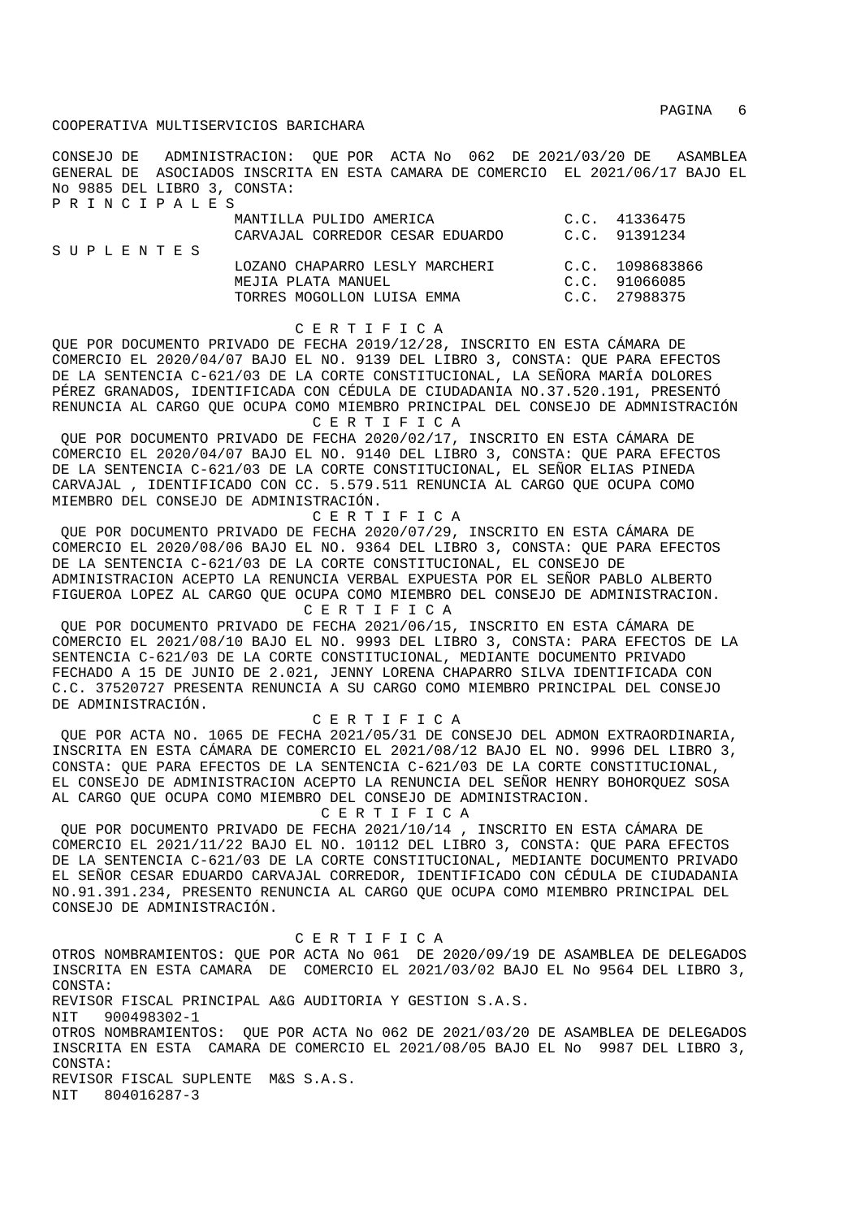CONSEJO DE ADMINISTRACION: QUE POR ACTA No 062 DE 2021/03/20 DE ASAMBLEA GENERAL DE ASOCIADOS INSCRITA EN ESTA CAMARA DE COMERCIO EL 2021/06/17 BAJO EL No 9885 DEL LIBRO 3, CONSTA: P R I N C I P A L E S

| SUPLENTES | MANTILLA PULIDO AMERICA<br>CARVAJAL CORREDOR CESAR EDUARDO                         | C.C. 41336475<br>C.C. 91391234                    |
|-----------|------------------------------------------------------------------------------------|---------------------------------------------------|
|           | LOZANO CHAPARRO LESLY MARCHERI<br>MEJIA PLATA MANUEL<br>TORRES MOGOLLON LUISA EMMA | C.C. 1098683866<br>C.C. 91066085<br>C.C. 27988375 |

#### C E R T I F I C A

QUE POR DOCUMENTO PRIVADO DE FECHA 2019/12/28, INSCRITO EN ESTA CÁMARA DE COMERCIO EL 2020/04/07 BAJO EL NO. 9139 DEL LIBRO 3, CONSTA: QUE PARA EFECTOS DE LA SENTENCIA C-621/03 DE LA CORTE CONSTITUCIONAL, LA SEÑORA MARÍA DOLORES PÉREZ GRANADOS, IDENTIFICADA CON CÉDULA DE CIUDADANIA NO.37.520.191, PRESENTÓ RENUNCIA AL CARGO QUE OCUPA COMO MIEMBRO PRINCIPAL DEL CONSEJO DE ADMNISTRACIÓN C E R T I F I C A

 QUE POR DOCUMENTO PRIVADO DE FECHA 2020/02/17, INSCRITO EN ESTA CÁMARA DE COMERCIO EL 2020/04/07 BAJO EL NO. 9140 DEL LIBRO 3, CONSTA: QUE PARA EFECTOS DE LA SENTENCIA C-621/03 DE LA CORTE CONSTITUCIONAL, EL SEÑOR ELIAS PINEDA CARVAJAL , IDENTIFICADO CON CC. 5.579.511 RENUNCIA AL CARGO QUE OCUPA COMO MIEMBRO DEL CONSEJO DE ADMINISTRACIÓN.

 C E R T I F I C A QUE POR DOCUMENTO PRIVADO DE FECHA 2020/07/29, INSCRITO EN ESTA CÁMARA DE COMERCIO EL 2020/08/06 BAJO EL NO. 9364 DEL LIBRO 3, CONSTA: QUE PARA EFECTOS DE LA SENTENCIA C-621/03 DE LA CORTE CONSTITUCIONAL, EL CONSEJO DE ADMINISTRACION ACEPTO LA RENUNCIA VERBAL EXPUESTA POR EL SEÑOR PABLO ALBERTO FIGUEROA LOPEZ AL CARGO QUE OCUPA COMO MIEMBRO DEL CONSEJO DE ADMINISTRACION. C E R T I F I C A

 QUE POR DOCUMENTO PRIVADO DE FECHA 2021/06/15, INSCRITO EN ESTA CÁMARA DE COMERCIO EL 2021/08/10 BAJO EL NO. 9993 DEL LIBRO 3, CONSTA: PARA EFECTOS DE LA SENTENCIA C-621/03 DE LA CORTE CONSTITUCIONAL, MEDIANTE DOCUMENTO PRIVADO FECHADO A 15 DE JUNIO DE 2.021, JENNY LORENA CHAPARRO SILVA IDENTIFICADA CON C.C. 37520727 PRESENTA RENUNCIA A SU CARGO COMO MIEMBRO PRINCIPAL DEL CONSEJO DE ADMINISTRACIÓN.

C E R T I F I C A

 QUE POR ACTA NO. 1065 DE FECHA 2021/05/31 DE CONSEJO DEL ADMON EXTRAORDINARIA, INSCRITA EN ESTA CÁMARA DE COMERCIO EL 2021/08/12 BAJO EL NO. 9996 DEL LIBRO 3, CONSTA: QUE PARA EFECTOS DE LA SENTENCIA C-621/03 DE LA CORTE CONSTITUCIONAL, EL CONSEJO DE ADMINISTRACION ACEPTO LA RENUNCIA DEL SEÑOR HENRY BOHORQUEZ SOSA AL CARGO QUE OCUPA COMO MIEMBRO DEL CONSEJO DE ADMINISTRACION.

C E R T I F I C A

 QUE POR DOCUMENTO PRIVADO DE FECHA 2021/10/14 , INSCRITO EN ESTA CÁMARA DE COMERCIO EL 2021/11/22 BAJO EL NO. 10112 DEL LIBRO 3, CONSTA: QUE PARA EFECTOS DE LA SENTENCIA C-621/03 DE LA CORTE CONSTITUCIONAL, MEDIANTE DOCUMENTO PRIVADO EL SEÑOR CESAR EDUARDO CARVAJAL CORREDOR, IDENTIFICADO CON CÉDULA DE CIUDADANIA NO.91.391.234, PRESENTO RENUNCIA AL CARGO QUE OCUPA COMO MIEMBRO PRINCIPAL DEL CONSEJO DE ADMINISTRACIÓN.

C E R T I F I C A

OTROS NOMBRAMIENTOS: QUE POR ACTA No 061 DE 2020/09/19 DE ASAMBLEA DE DELEGADOS INSCRITA EN ESTA CAMARA DE COMERCIO EL 2021/03/02 BAJO EL No 9564 DEL LIBRO 3, CONSTA: REVISOR FISCAL PRINCIPAL A&G AUDITORIA Y GESTION S.A.S. NIT 900498302-1 OTROS NOMBRAMIENTOS: QUE POR ACTA No 062 DE 2021/03/20 DE ASAMBLEA DE DELEGADOS INSCRITA EN ESTA CAMARA DE COMERCIO EL 2021/08/05 BAJO EL No 9987 DEL LIBRO 3, CONSTA: REVISOR FISCAL SUPLENTE M&S S.A.S. NIT 804016287-3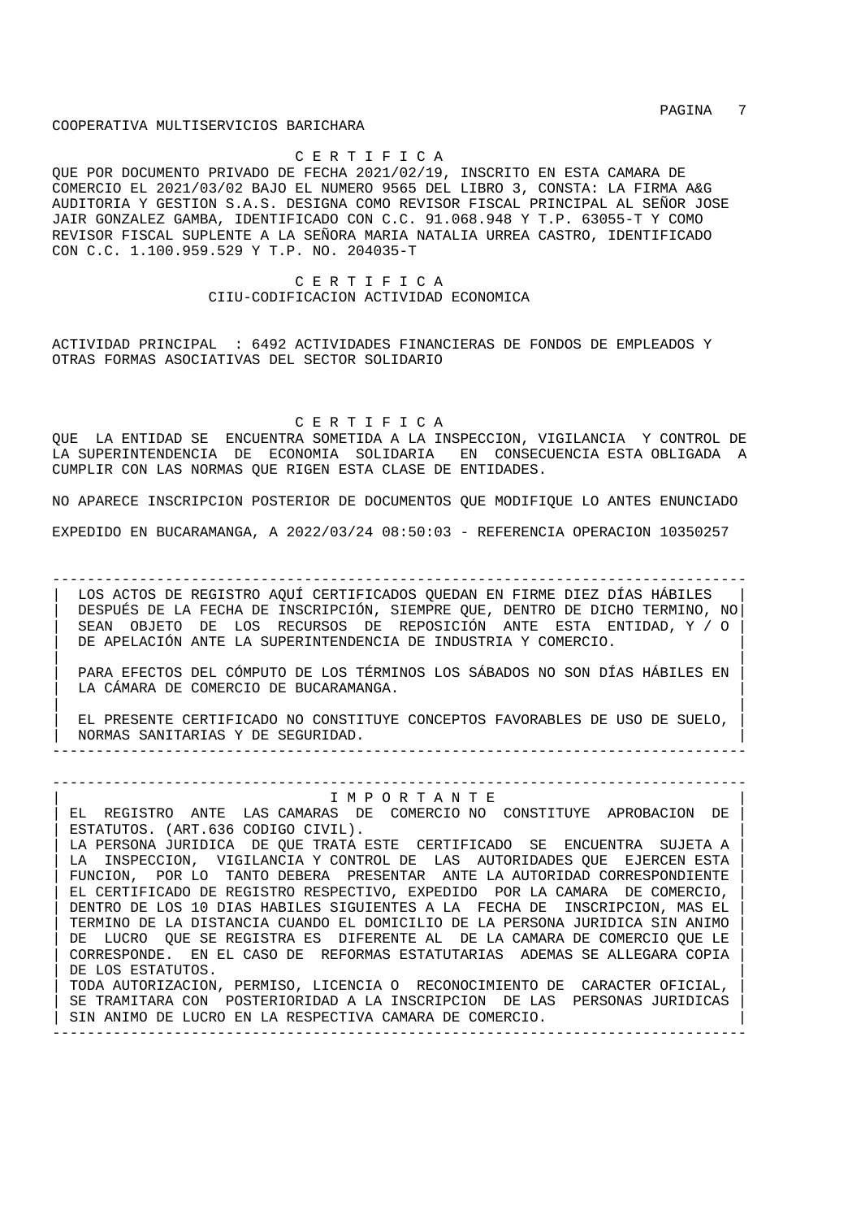PAGINA 7

COOPERATIVA MULTISERVICIOS BARICHARA

C E R T I F I C A

QUE POR DOCUMENTO PRIVADO DE FECHA 2021/02/19, INSCRITO EN ESTA CAMARA DE COMERCIO EL 2021/03/02 BAJO EL NUMERO 9565 DEL LIBRO 3, CONSTA: LA FIRMA A&G AUDITORIA Y GESTION S.A.S. DESIGNA COMO REVISOR FISCAL PRINCIPAL AL SEÑOR JOSE JAIR GONZALEZ GAMBA, IDENTIFICADO CON C.C. 91.068.948 Y T.P. 63055-T Y COMO REVISOR FISCAL SUPLENTE A LA SEÑORA MARIA NATALIA URREA CASTRO, IDENTIFICADO CON C.C. 1.100.959.529 Y T.P. NO. 204035-T

> C E R T I F I C A CIIU-CODIFICACION ACTIVIDAD ECONOMICA

ACTIVIDAD PRINCIPAL : 6492 ACTIVIDADES FINANCIERAS DE FONDOS DE EMPLEADOS Y OTRAS FORMAS ASOCIATIVAS DEL SECTOR SOLIDARIO

C E R T I F I C A

QUE LA ENTIDAD SE ENCUENTRA SOMETIDA A LA INSPECCION, VIGILANCIA Y CONTROL DE LA SUPERINTENDENCIA DE ECONOMIA SOLIDARIA EN CONSECUENCIA ESTA OBLIGADA A CUMPLIR CON LAS NORMAS QUE RIGEN ESTA CLASE DE ENTIDADES.

NO APARECE INSCRIPCION POSTERIOR DE DOCUMENTOS QUE MODIFIQUE LO ANTES ENUNCIADO

EXPEDIDO EN BUCARAMANGA, A 2022/03/24 08:50:03 - REFERENCIA OPERACION 10350257

-------------------------------------------------------------------------------- LOS ACTOS DE REGISTRO AQUÍ CERTIFICADOS QUEDAN EN FIRME DIEZ DÍAS HÁBILES | DESPUÉS DE LA FECHA DE INSCRIPCIÓN, SIEMPRE QUE, DENTRO DE DICHO TERMINO, NO| | SEAN OBJETO DE LOS RECURSOS DE REPOSICIÓN ANTE ESTA ENTIDAD, Y / O | DE APELACIÓN ANTE LA SUPERINTENDENCIA DE INDUSTRIA Y COMERCIO.

| | | PARA EFECTOS DEL CÓMPUTO DE LOS TÉRMINOS LOS SÁBADOS NO SON DÍAS HÁBILES EN | LA CÁMARA DE COMERCIO DE BUCARAMANGA. | |

| EL PRESENTE CERTIFICADO NO CONSTITUYE CONCEPTOS FAVORABLES DE USO DE SUELO, | | NORMAS SANITARIAS Y DE SEGURIDAD. | --------------------------------------------------------------------------------

--------------------------------------------------------------------------------

## | I M P O R T A N T E |

EL REGISTRO ANTE LAS CAMARAS DE COMERCIO NO CONSTITUYE APROBACION DE ESTATUTOS. (ART.636 CODIGO CIVIL). LA PERSONA JURIDICA DE QUE TRATA ESTE CERTIFICADO SE ENCUENTRA SUJETA A LA INSPECCION, VIGILANCIA Y CONTROL DE LAS AUTORIDADES QUE EJERCEN ESTA FUNCION, POR LO TANTO DEBERA PRESENTAR ANTE LA AUTORIDAD CORRESPONDIENTE | EL CERTIFICADO DE REGISTRO RESPECTIVO, EXPEDIDO POR LA CAMARA DE COMERCIO, | | DENTRO DE LOS 10 DIAS HABILES SIGUIENTES A LA FECHA DE INSCRIPCION, MAS EL | | TERMINO DE LA DISTANCIA CUANDO EL DOMICILIO DE LA PERSONA JURIDICA SIN ANIMO | DE LUCRO QUE SE REGISTRA ES DIFERENTE AL DE LA CAMARA DE COMERCIO QUE LE | CORRESPONDE. EN EL CASO DE REFORMAS ESTATUTARIAS ADEMAS SE ALLEGARA COPIA | DE LOS ESTATUTOS. | TODA AUTORIZACION, PERMISO, LICENCIA O RECONOCIMIENTO DE CARACTER OFICIAL, | SE TRAMITARA CON POSTERIORIDAD A LA INSCRIPCION DE LAS PERSONAS JURIDICAS SIN ANIMO DE LUCRO EN LA RESPECTIVA CAMARA DE COMERCIO.

--------------------------------------------------------------------------------